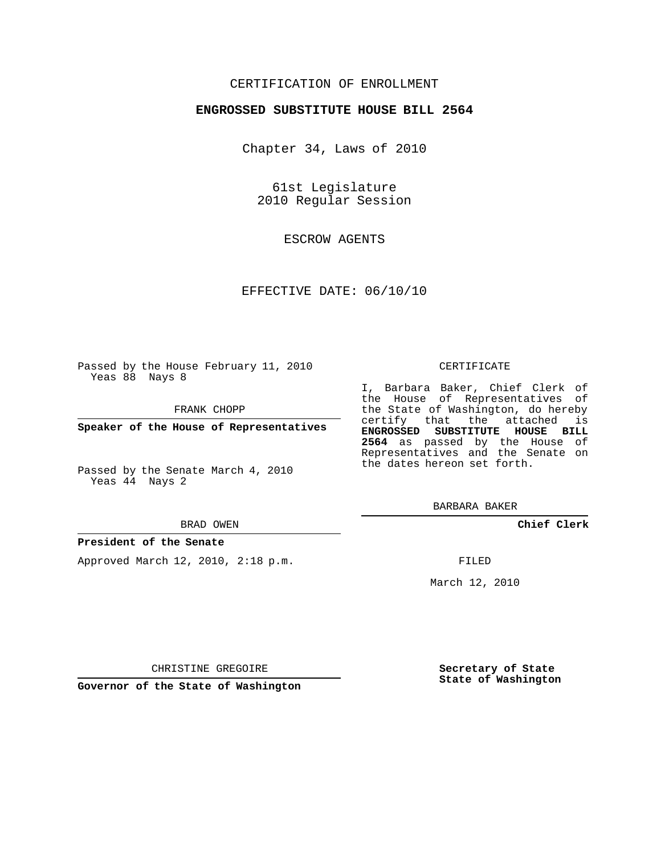## CERTIFICATION OF ENROLLMENT

## **ENGROSSED SUBSTITUTE HOUSE BILL 2564**

Chapter 34, Laws of 2010

61st Legislature 2010 Regular Session

ESCROW AGENTS

## EFFECTIVE DATE: 06/10/10

Passed by the House February 11, 2010 Yeas 88 Nays 8

FRANK CHOPP

**Speaker of the House of Representatives**

Passed by the Senate March 4, 2010 Yeas 44 Nays 2

#### BRAD OWEN

### **President of the Senate**

Approved March 12, 2010, 2:18 p.m.

#### CERTIFICATE

I, Barbara Baker, Chief Clerk of the House of Representatives of the State of Washington, do hereby certify that the attached is **ENGROSSED SUBSTITUTE HOUSE BILL 2564** as passed by the House of Representatives and the Senate on the dates hereon set forth.

BARBARA BAKER

**Chief Clerk**

FILED

March 12, 2010

CHRISTINE GREGOIRE

**Governor of the State of Washington**

**Secretary of State State of Washington**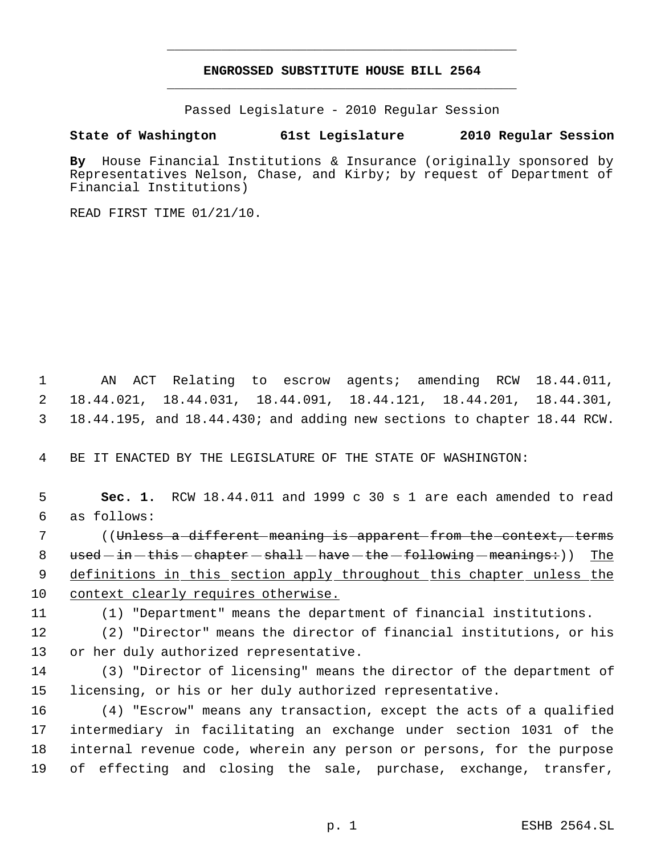# **ENGROSSED SUBSTITUTE HOUSE BILL 2564** \_\_\_\_\_\_\_\_\_\_\_\_\_\_\_\_\_\_\_\_\_\_\_\_\_\_\_\_\_\_\_\_\_\_\_\_\_\_\_\_\_\_\_\_\_

\_\_\_\_\_\_\_\_\_\_\_\_\_\_\_\_\_\_\_\_\_\_\_\_\_\_\_\_\_\_\_\_\_\_\_\_\_\_\_\_\_\_\_\_\_

Passed Legislature - 2010 Regular Session

# **State of Washington 61st Legislature 2010 Regular Session**

**By** House Financial Institutions & Insurance (originally sponsored by Representatives Nelson, Chase, and Kirby; by request of Department of Financial Institutions)

READ FIRST TIME 01/21/10.

 1 AN ACT Relating to escrow agents; amending RCW 18.44.011, 2 18.44.021, 18.44.031, 18.44.091, 18.44.121, 18.44.201, 18.44.301, 3 18.44.195, and 18.44.430; and adding new sections to chapter 18.44 RCW.

4 BE IT ENACTED BY THE LEGISLATURE OF THE STATE OF WASHINGTON:

 5 **Sec. 1.** RCW 18.44.011 and 1999 c 30 s 1 are each amended to read 6 as follows:

7 ((<del>Unless a-different meaning is apparent from the context, terms</del> 8 used - in - this - chapter - shall - have - the - following - meanings:)) The 9 definitions in this section apply throughout this chapter unless the 10 context clearly requires otherwise.

11 (1) "Department" means the department of financial institutions.

12 (2) "Director" means the director of financial institutions, or his 13 or her duly authorized representative.

14 (3) "Director of licensing" means the director of the department of 15 licensing, or his or her duly authorized representative.

 (4) "Escrow" means any transaction, except the acts of a qualified intermediary in facilitating an exchange under section 1031 of the internal revenue code, wherein any person or persons, for the purpose of effecting and closing the sale, purchase, exchange, transfer,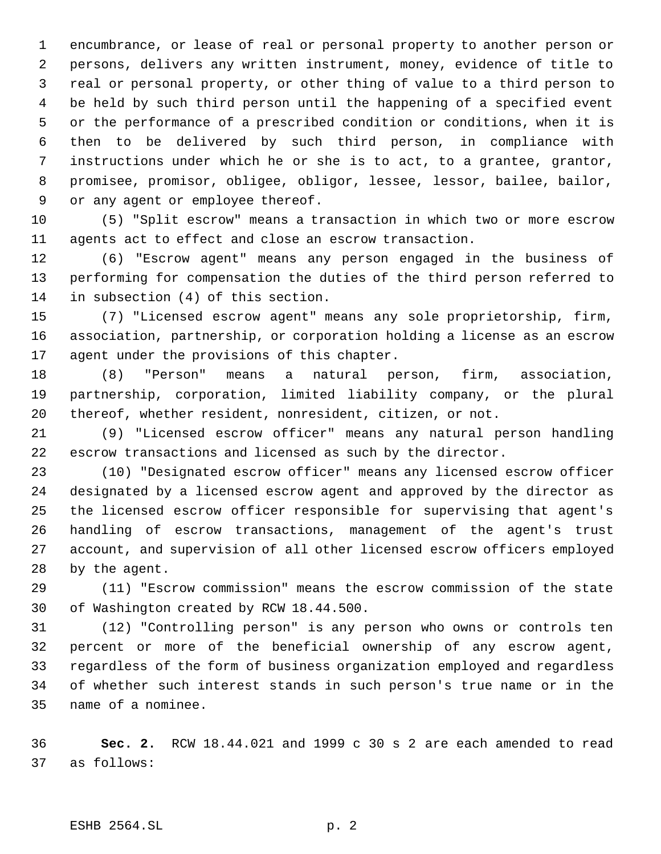encumbrance, or lease of real or personal property to another person or persons, delivers any written instrument, money, evidence of title to real or personal property, or other thing of value to a third person to be held by such third person until the happening of a specified event or the performance of a prescribed condition or conditions, when it is then to be delivered by such third person, in compliance with instructions under which he or she is to act, to a grantee, grantor, promisee, promisor, obligee, obligor, lessee, lessor, bailee, bailor, or any agent or employee thereof.

 (5) "Split escrow" means a transaction in which two or more escrow agents act to effect and close an escrow transaction.

 (6) "Escrow agent" means any person engaged in the business of performing for compensation the duties of the third person referred to in subsection (4) of this section.

 (7) "Licensed escrow agent" means any sole proprietorship, firm, association, partnership, or corporation holding a license as an escrow agent under the provisions of this chapter.

 (8) "Person" means a natural person, firm, association, partnership, corporation, limited liability company, or the plural thereof, whether resident, nonresident, citizen, or not.

 (9) "Licensed escrow officer" means any natural person handling escrow transactions and licensed as such by the director.

 (10) "Designated escrow officer" means any licensed escrow officer designated by a licensed escrow agent and approved by the director as the licensed escrow officer responsible for supervising that agent's handling of escrow transactions, management of the agent's trust account, and supervision of all other licensed escrow officers employed by the agent.

 (11) "Escrow commission" means the escrow commission of the state of Washington created by RCW 18.44.500.

 (12) "Controlling person" is any person who owns or controls ten percent or more of the beneficial ownership of any escrow agent, regardless of the form of business organization employed and regardless of whether such interest stands in such person's true name or in the name of a nominee.

 **Sec. 2.** RCW 18.44.021 and 1999 c 30 s 2 are each amended to read as follows: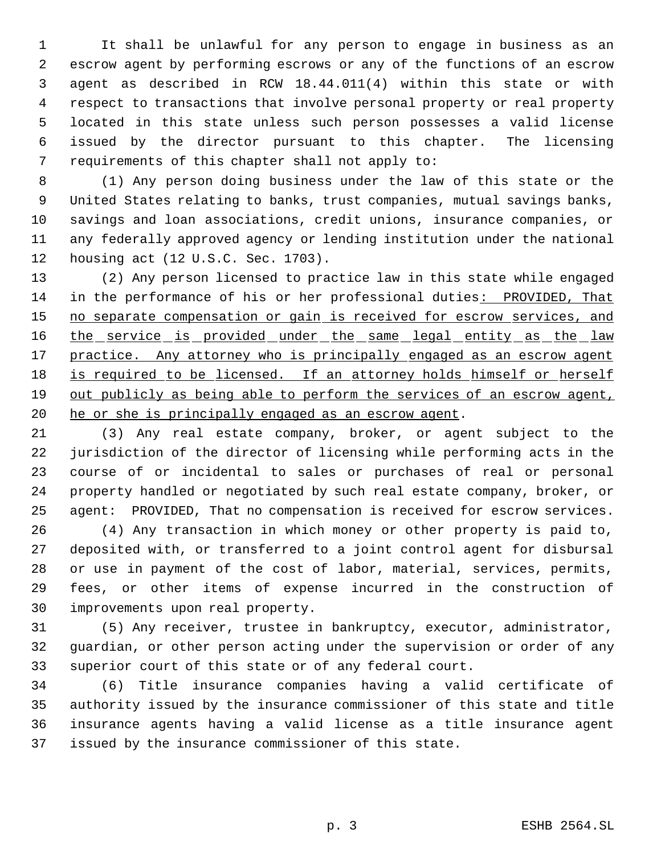It shall be unlawful for any person to engage in business as an escrow agent by performing escrows or any of the functions of an escrow agent as described in RCW 18.44.011(4) within this state or with respect to transactions that involve personal property or real property located in this state unless such person possesses a valid license issued by the director pursuant to this chapter. The licensing requirements of this chapter shall not apply to:

 (1) Any person doing business under the law of this state or the United States relating to banks, trust companies, mutual savings banks, savings and loan associations, credit unions, insurance companies, or any federally approved agency or lending institution under the national housing act (12 U.S.C. Sec. 1703).

 (2) Any person licensed to practice law in this state while engaged 14 in the performance of his or her professional duties: PROVIDED, That 15 no separate compensation or gain is received for escrow services, and 16 the service is provided under the same legal entity as the law 17 practice. Any attorney who is principally engaged as an escrow agent 18 is required to be licensed. If an attorney holds himself or herself 19 out publicly as being able to perform the services of an escrow agent, 20 he or she is principally engaged as an escrow agent.

 (3) Any real estate company, broker, or agent subject to the jurisdiction of the director of licensing while performing acts in the course of or incidental to sales or purchases of real or personal property handled or negotiated by such real estate company, broker, or agent: PROVIDED, That no compensation is received for escrow services.

 (4) Any transaction in which money or other property is paid to, deposited with, or transferred to a joint control agent for disbursal or use in payment of the cost of labor, material, services, permits, fees, or other items of expense incurred in the construction of improvements upon real property.

 (5) Any receiver, trustee in bankruptcy, executor, administrator, guardian, or other person acting under the supervision or order of any superior court of this state or of any federal court.

 (6) Title insurance companies having a valid certificate of authority issued by the insurance commissioner of this state and title insurance agents having a valid license as a title insurance agent issued by the insurance commissioner of this state.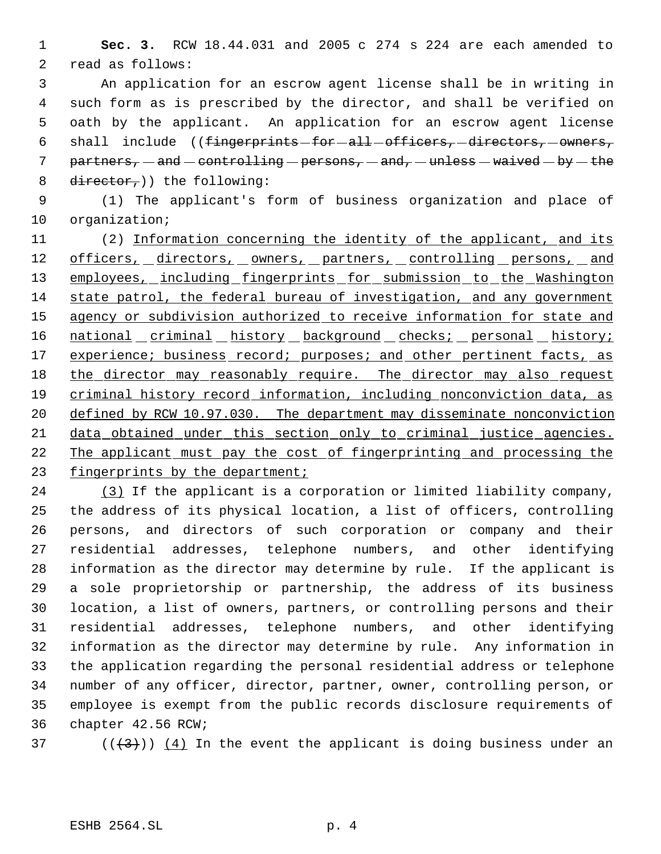**Sec. 3.** RCW 18.44.031 and 2005 c 274 s 224 are each amended to read as follows:

 An application for an escrow agent license shall be in writing in such form as is prescribed by the director, and shall be verified on oath by the applicant. An application for an escrow agent license 6 shall include  $((fingerprints - for - all -officers, -directions, -owners,$ 7 partners,  $-$  and  $-$  controlling  $-$  persons,  $-$  and,  $-$  unless  $-$  waived  $-$  by  $-$  the 8 director,  $)$  the following:

 (1) The applicant's form of business organization and place of organization;

11 (2) Information concerning the identity of the applicant, and its 12 officers, directors, owners, partners, controlling persons, and 13 employees, including fingerprints for submission to the Washington state patrol, the federal bureau of investigation, and any government 15 agency or subdivision authorized to receive information for state and 16 national criminal history background checks; personal history; 17 experience; business record; purposes; and other pertinent facts, as 18 the director may reasonably require. The director may also request criminal history record information, including nonconviction data, as defined by RCW 10.97.030. The department may disseminate nonconviction data obtained under this section only to criminal justice agencies. The applicant must pay the cost of fingerprinting and processing the 23 fingerprints by the department;

 (3) If the applicant is a corporation or limited liability company, the address of its physical location, a list of officers, controlling persons, and directors of such corporation or company and their residential addresses, telephone numbers, and other identifying information as the director may determine by rule. If the applicant is a sole proprietorship or partnership, the address of its business location, a list of owners, partners, or controlling persons and their residential addresses, telephone numbers, and other identifying information as the director may determine by rule. Any information in the application regarding the personal residential address or telephone number of any officer, director, partner, owner, controlling person, or employee is exempt from the public records disclosure requirements of chapter 42.56 RCW;

37 ( $(\frac{43}{})$ ) (4) In the event the applicant is doing business under an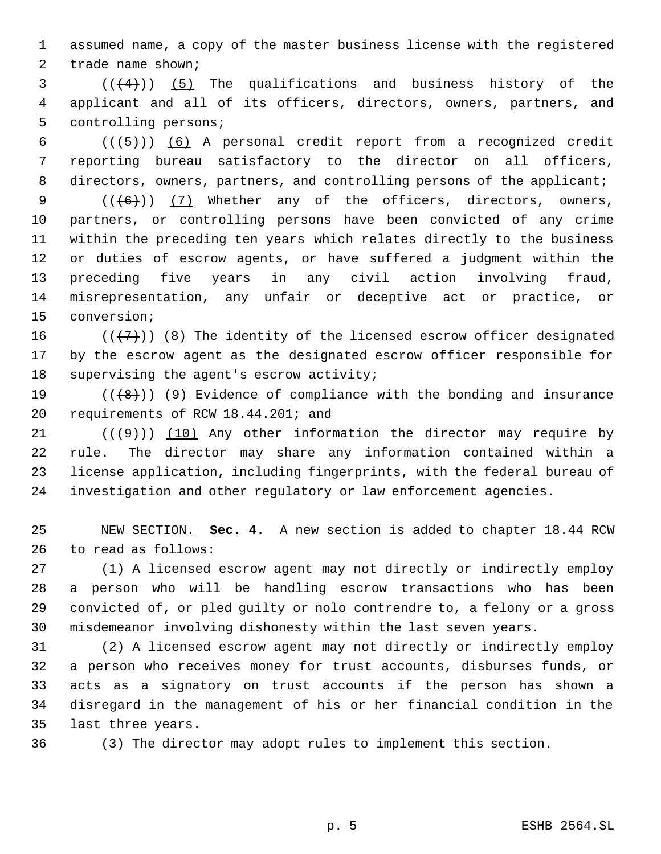assumed name, a copy of the master business license with the registered trade name shown;

 (( $(4)$ )) (5) The qualifications and business history of the applicant and all of its officers, directors, owners, partners, and controlling persons;

6  $((+5))$   $(6)$  A personal credit report from a recognized credit reporting bureau satisfactory to the director on all officers, 8 directors, owners, partners, and controlling persons of the applicant;

 $((+6))$   $(7)$  Whether any of the officers, directors, owners, partners, or controlling persons have been convicted of any crime within the preceding ten years which relates directly to the business or duties of escrow agents, or have suffered a judgment within the preceding five years in any civil action involving fraud, misrepresentation, any unfair or deceptive act or practice, or conversion;

16  $((+7+))$  (8) The identity of the licensed escrow officer designated by the escrow agent as the designated escrow officer responsible for supervising the agent's escrow activity;

19  $((+8))$  (9) Evidence of compliance with the bonding and insurance requirements of RCW 18.44.201; and

 $((+9))$   $(10)$  Any other information the director may require by rule. The director may share any information contained within a license application, including fingerprints, with the federal bureau of investigation and other regulatory or law enforcement agencies.

 NEW SECTION. **Sec. 4.** A new section is added to chapter 18.44 RCW to read as follows:

 (1) A licensed escrow agent may not directly or indirectly employ a person who will be handling escrow transactions who has been convicted of, or pled guilty or nolo contrendre to, a felony or a gross misdemeanor involving dishonesty within the last seven years.

 (2) A licensed escrow agent may not directly or indirectly employ a person who receives money for trust accounts, disburses funds, or acts as a signatory on trust accounts if the person has shown a disregard in the management of his or her financial condition in the last three years.

(3) The director may adopt rules to implement this section.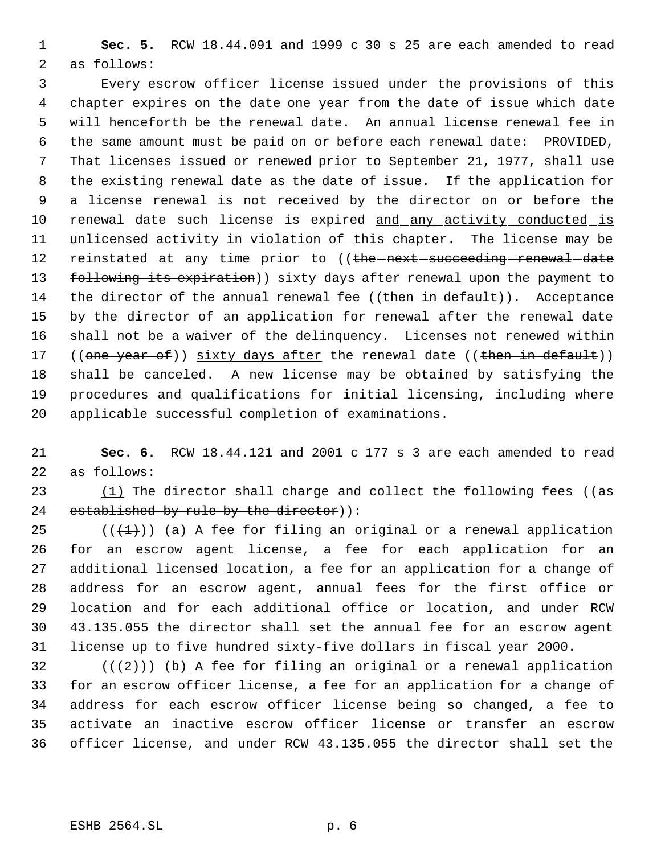**Sec. 5.** RCW 18.44.091 and 1999 c 30 s 25 are each amended to read as follows:

 Every escrow officer license issued under the provisions of this chapter expires on the date one year from the date of issue which date will henceforth be the renewal date. An annual license renewal fee in the same amount must be paid on or before each renewal date: PROVIDED, That licenses issued or renewed prior to September 21, 1977, shall use the existing renewal date as the date of issue. If the application for a license renewal is not received by the director on or before the 10 renewal date such license is expired and any activity conducted is 11 unlicensed activity in violation of this chapter. The license may be 12 reinstated at any time prior to ((the next succeeding renewal date 13 following its expiration)) sixty days after renewal upon the payment to 14 the director of the annual renewal fee ((then in default)). Acceptance by the director of an application for renewal after the renewal date shall not be a waiver of the delinquency. Licenses not renewed within 17 ((one year of)) sixty days after the renewal date ((then in default)) shall be canceled. A new license may be obtained by satisfying the procedures and qualifications for initial licensing, including where applicable successful completion of examinations.

 **Sec. 6.** RCW 18.44.121 and 2001 c 177 s 3 are each amended to read as follows:

23  $(1)$  The director shall charge and collect the following fees (( $a\overline{s}$ ) 24 established by rule by the director)):

 $((+1))$  (a) A fee for filing an original or a renewal application for an escrow agent license, a fee for each application for an additional licensed location, a fee for an application for a change of address for an escrow agent, annual fees for the first office or location and for each additional office or location, and under RCW 43.135.055 the director shall set the annual fee for an escrow agent license up to five hundred sixty-five dollars in fiscal year 2000.

 $((+2))$  (b) A fee for filing an original or a renewal application for an escrow officer license, a fee for an application for a change of address for each escrow officer license being so changed, a fee to activate an inactive escrow officer license or transfer an escrow officer license, and under RCW 43.135.055 the director shall set the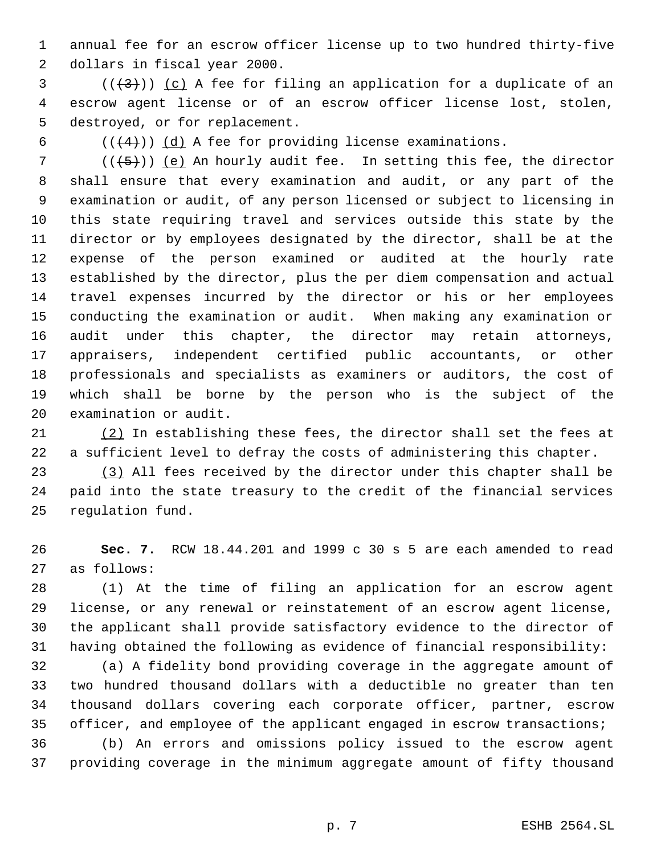annual fee for an escrow officer license up to two hundred thirty-five dollars in fiscal year 2000.

 (( $(3)$ )) (c) A fee for filing an application for a duplicate of an escrow agent license or of an escrow officer license lost, stolen, destroyed, or for replacement.

6  $((+4))$   $(d)$  A fee for providing license examinations.

 $((+5))$  (e) An hourly audit fee. In setting this fee, the director shall ensure that every examination and audit, or any part of the examination or audit, of any person licensed or subject to licensing in this state requiring travel and services outside this state by the director or by employees designated by the director, shall be at the expense of the person examined or audited at the hourly rate established by the director, plus the per diem compensation and actual travel expenses incurred by the director or his or her employees conducting the examination or audit. When making any examination or audit under this chapter, the director may retain attorneys, appraisers, independent certified public accountants, or other professionals and specialists as examiners or auditors, the cost of which shall be borne by the person who is the subject of the examination or audit.

 (2) In establishing these fees, the director shall set the fees at a sufficient level to defray the costs of administering this chapter.

 (3) All fees received by the director under this chapter shall be paid into the state treasury to the credit of the financial services regulation fund.

 **Sec. 7.** RCW 18.44.201 and 1999 c 30 s 5 are each amended to read as follows:

 (1) At the time of filing an application for an escrow agent license, or any renewal or reinstatement of an escrow agent license, the applicant shall provide satisfactory evidence to the director of having obtained the following as evidence of financial responsibility:

 (a) A fidelity bond providing coverage in the aggregate amount of two hundred thousand dollars with a deductible no greater than ten thousand dollars covering each corporate officer, partner, escrow officer, and employee of the applicant engaged in escrow transactions;

 (b) An errors and omissions policy issued to the escrow agent providing coverage in the minimum aggregate amount of fifty thousand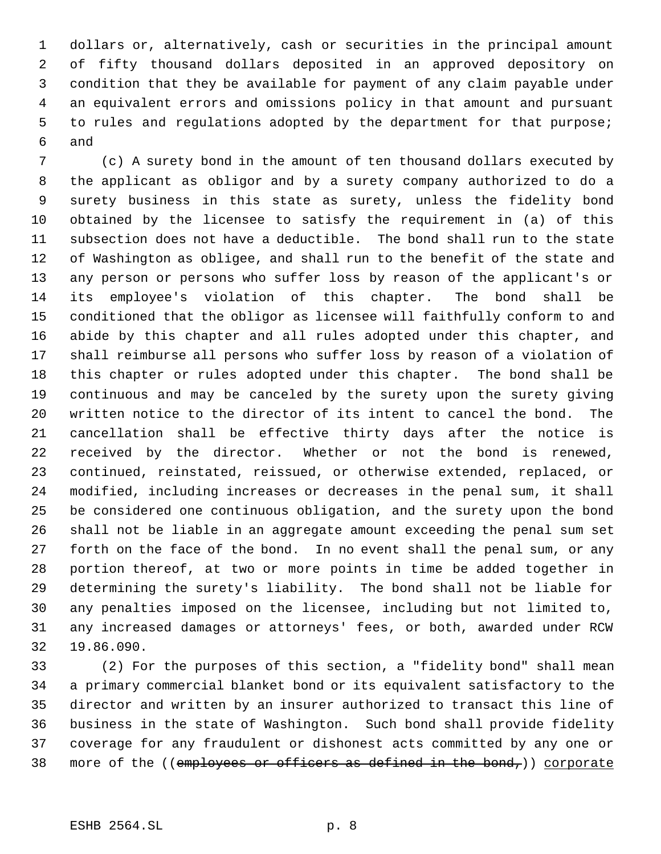dollars or, alternatively, cash or securities in the principal amount of fifty thousand dollars deposited in an approved depository on condition that they be available for payment of any claim payable under an equivalent errors and omissions policy in that amount and pursuant to rules and regulations adopted by the department for that purpose; and

 (c) A surety bond in the amount of ten thousand dollars executed by the applicant as obligor and by a surety company authorized to do a surety business in this state as surety, unless the fidelity bond obtained by the licensee to satisfy the requirement in (a) of this subsection does not have a deductible. The bond shall run to the state of Washington as obligee, and shall run to the benefit of the state and any person or persons who suffer loss by reason of the applicant's or its employee's violation of this chapter. The bond shall be conditioned that the obligor as licensee will faithfully conform to and abide by this chapter and all rules adopted under this chapter, and shall reimburse all persons who suffer loss by reason of a violation of this chapter or rules adopted under this chapter. The bond shall be continuous and may be canceled by the surety upon the surety giving written notice to the director of its intent to cancel the bond. The cancellation shall be effective thirty days after the notice is received by the director. Whether or not the bond is renewed, continued, reinstated, reissued, or otherwise extended, replaced, or modified, including increases or decreases in the penal sum, it shall be considered one continuous obligation, and the surety upon the bond shall not be liable in an aggregate amount exceeding the penal sum set forth on the face of the bond. In no event shall the penal sum, or any portion thereof, at two or more points in time be added together in determining the surety's liability. The bond shall not be liable for any penalties imposed on the licensee, including but not limited to, any increased damages or attorneys' fees, or both, awarded under RCW 19.86.090.

 (2) For the purposes of this section, a "fidelity bond" shall mean a primary commercial blanket bond or its equivalent satisfactory to the director and written by an insurer authorized to transact this line of business in the state of Washington. Such bond shall provide fidelity coverage for any fraudulent or dishonest acts committed by any one or 38 more of the ((employees or officers as defined in the bond,)) corporate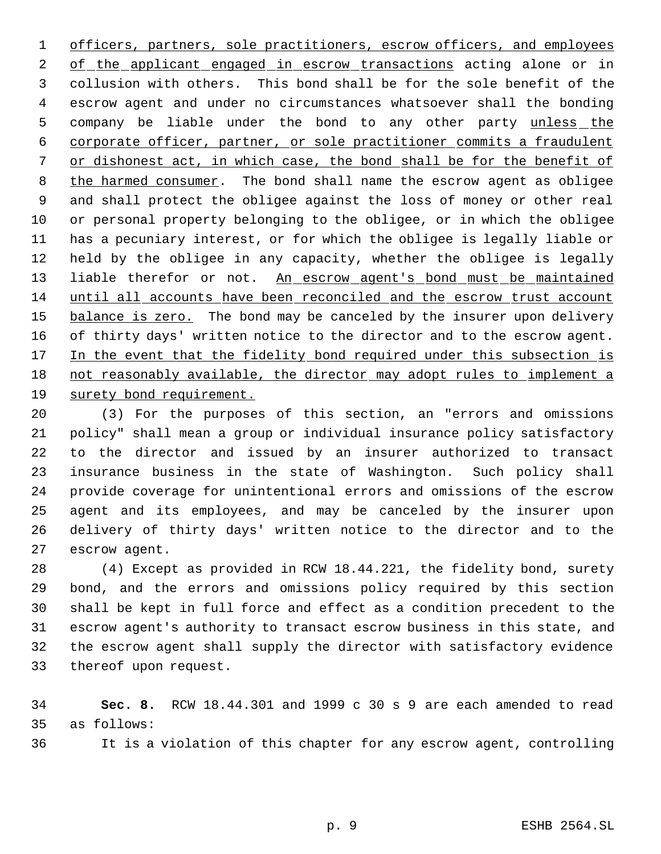officers, partners, sole practitioners, escrow officers, and employees 2 of the applicant engaged in escrow transactions acting alone or in collusion with others. This bond shall be for the sole benefit of the escrow agent and under no circumstances whatsoever shall the bonding 5 company be liable under the bond to any other party unless the corporate officer, partner, or sole practitioner commits a fraudulent or dishonest act, in which case, the bond shall be for the benefit of 8 the harmed consumer. The bond shall name the escrow agent as obligee and shall protect the obligee against the loss of money or other real or personal property belonging to the obligee, or in which the obligee has a pecuniary interest, or for which the obligee is legally liable or held by the obligee in any capacity, whether the obligee is legally 13 liable therefor or not. An escrow agent's bond must be maintained until all accounts have been reconciled and the escrow trust account 15 balance is zero. The bond may be canceled by the insurer upon delivery of thirty days' written notice to the director and to the escrow agent. 17 In the event that the fidelity bond required under this subsection is not reasonably available, the director may adopt rules to implement a surety bond requirement.

 (3) For the purposes of this section, an "errors and omissions policy" shall mean a group or individual insurance policy satisfactory to the director and issued by an insurer authorized to transact insurance business in the state of Washington. Such policy shall provide coverage for unintentional errors and omissions of the escrow agent and its employees, and may be canceled by the insurer upon delivery of thirty days' written notice to the director and to the escrow agent.

 (4) Except as provided in RCW 18.44.221, the fidelity bond, surety bond, and the errors and omissions policy required by this section shall be kept in full force and effect as a condition precedent to the escrow agent's authority to transact escrow business in this state, and the escrow agent shall supply the director with satisfactory evidence thereof upon request.

 **Sec. 8.** RCW 18.44.301 and 1999 c 30 s 9 are each amended to read as follows:

It is a violation of this chapter for any escrow agent, controlling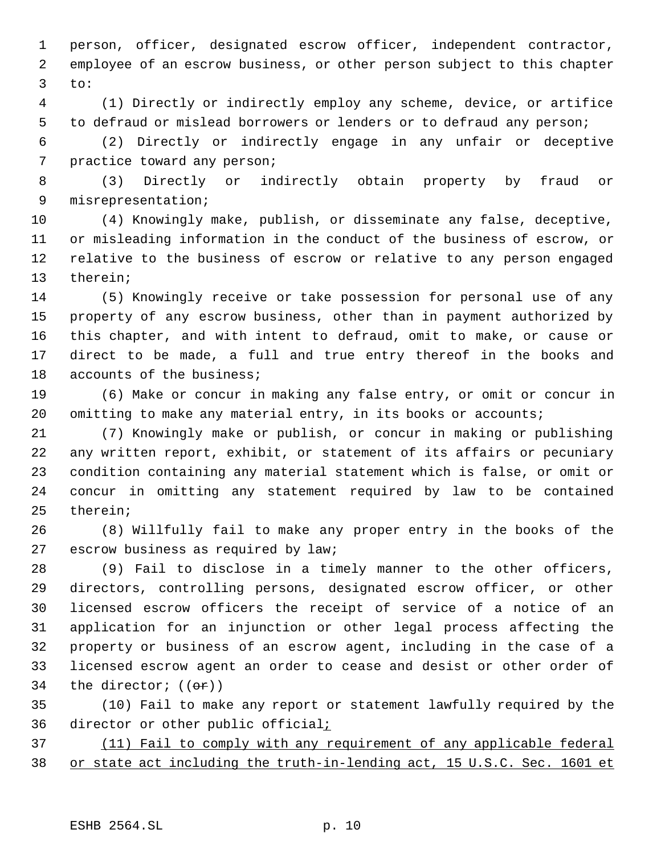person, officer, designated escrow officer, independent contractor, employee of an escrow business, or other person subject to this chapter to:

 (1) Directly or indirectly employ any scheme, device, or artifice to defraud or mislead borrowers or lenders or to defraud any person;

 (2) Directly or indirectly engage in any unfair or deceptive practice toward any person;

 (3) Directly or indirectly obtain property by fraud or misrepresentation;

 (4) Knowingly make, publish, or disseminate any false, deceptive, or misleading information in the conduct of the business of escrow, or relative to the business of escrow or relative to any person engaged therein;

 (5) Knowingly receive or take possession for personal use of any property of any escrow business, other than in payment authorized by this chapter, and with intent to defraud, omit to make, or cause or direct to be made, a full and true entry thereof in the books and accounts of the business;

 (6) Make or concur in making any false entry, or omit or concur in 20 omitting to make any material entry, in its books or accounts;

 (7) Knowingly make or publish, or concur in making or publishing any written report, exhibit, or statement of its affairs or pecuniary condition containing any material statement which is false, or omit or concur in omitting any statement required by law to be contained therein;

 (8) Willfully fail to make any proper entry in the books of the escrow business as required by law;

 (9) Fail to disclose in a timely manner to the other officers, directors, controlling persons, designated escrow officer, or other licensed escrow officers the receipt of service of a notice of an application for an injunction or other legal process affecting the property or business of an escrow agent, including in the case of a licensed escrow agent an order to cease and desist or other order of 34 the director;  $((\theta \cdot \hat{r}))$ 

 (10) Fail to make any report or statement lawfully required by the 36 director or other public official<sub>i</sub>

 (11) Fail to comply with any requirement of any applicable federal or state act including the truth-in-lending act, 15 U.S.C. Sec. 1601 et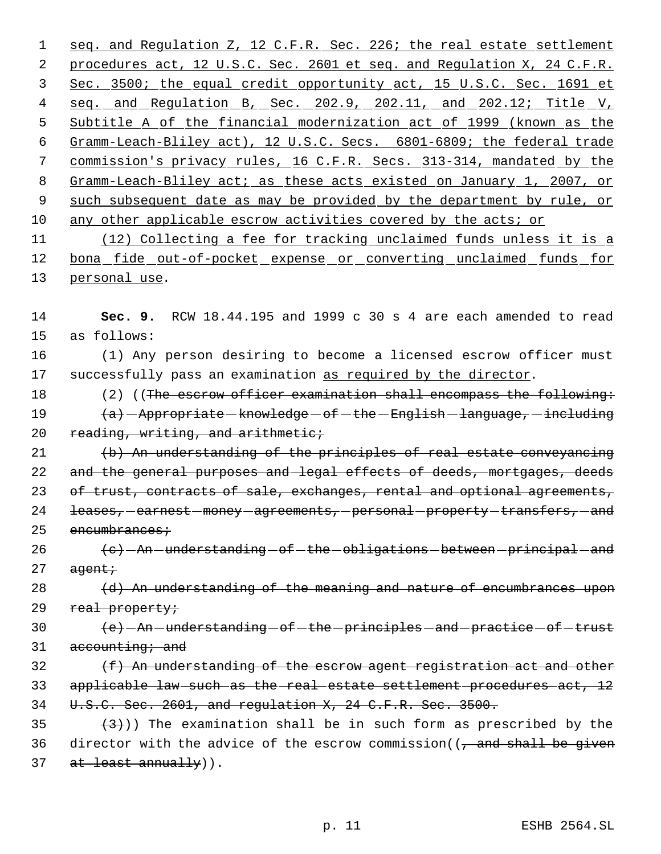1 seq. and Regulation Z, 12 C.F.R. Sec. 226; the real estate settlement 2 procedures act, 12 U.S.C. Sec. 2601 et seq. and Regulation X, 24 C.F.R. 3 Sec. 3500; the equal credit opportunity act, 15 U.S.C. Sec. 1691 et 4 seq. and Regulation B, Sec. 202.9, 202.11, and 202.12; Title V, 5 Subtitle A of the financial modernization act of 1999 (known as the 6 Gramm-Leach-Bliley act), 12 U.S.C. Secs. 6801-6809; the federal trade 7 commission's privacy rules, 16 C.F.R. Secs. 313-314, mandated by the 8 Gramm-Leach-Bliley act; as these acts existed on January 1, 2007, or 9 such subsequent date as may be provided by the department by rule, or 10 any other applicable escrow activities covered by the acts; or

11 (12) Collecting a fee for tracking unclaimed funds unless it is a 12 bona fide out-of-pocket expense or converting unclaimed funds for 13 personal use.

14 **Sec. 9.** RCW 18.44.195 and 1999 c 30 s 4 are each amended to read 15 as follows:

16 (1) Any person desiring to become a licensed escrow officer must 17 successfully pass an examination as required by the director.

18 (2) ((The escrow officer examination shall encompass the following: 19 (a) - Appropriate - knowledge - of - the - English - language, - including 20 reading, writing, and arithmetic;

21 (b) An understanding of the principles of real estate conveyancing 22 and the general purposes and legal effects of deeds, mortgages, deeds 23 of trust, contracts of sale, exchanges, rental and optional agreements, 24 leases, earnest money agreements, personal property transfers, and  $25$  encumbrances;

 $26$   $\left\{\mathrm{e}\right\}$  - An -understanding - of -the -obligations - between -principal - and  $27$  agent;

 $28$  (d) An understanding of the meaning and nature of encumbrances upon 29 real property;

30  $\left(e\right)$  - An - understanding - of - the - principles - and - practice - of - trust  $31$  accounting; and

32 (f) An understanding of the escrow agent registration act and other 33 applicable law such as the real estate settlement procedures act, 12 34 U.S.C. Sec. 2601, and regulation X, 24 C.F.R. Sec. 3500.

35  $(3)$ ) The examination shall be in such form as prescribed by the 36 director with the advice of the escrow commission( $\frac{1}{2}$  and shall be given 37 at least annually)).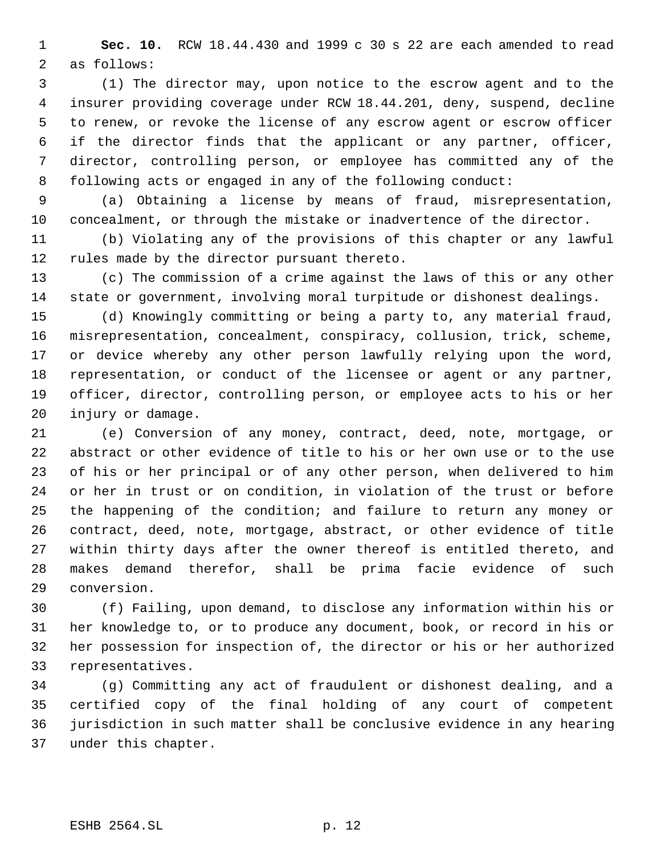**Sec. 10.** RCW 18.44.430 and 1999 c 30 s 22 are each amended to read as follows:

 (1) The director may, upon notice to the escrow agent and to the insurer providing coverage under RCW 18.44.201, deny, suspend, decline to renew, or revoke the license of any escrow agent or escrow officer if the director finds that the applicant or any partner, officer, director, controlling person, or employee has committed any of the following acts or engaged in any of the following conduct:

 (a) Obtaining a license by means of fraud, misrepresentation, concealment, or through the mistake or inadvertence of the director.

 (b) Violating any of the provisions of this chapter or any lawful rules made by the director pursuant thereto.

 (c) The commission of a crime against the laws of this or any other state or government, involving moral turpitude or dishonest dealings.

 (d) Knowingly committing or being a party to, any material fraud, misrepresentation, concealment, conspiracy, collusion, trick, scheme, or device whereby any other person lawfully relying upon the word, representation, or conduct of the licensee or agent or any partner, officer, director, controlling person, or employee acts to his or her injury or damage.

 (e) Conversion of any money, contract, deed, note, mortgage, or abstract or other evidence of title to his or her own use or to the use of his or her principal or of any other person, when delivered to him or her in trust or on condition, in violation of the trust or before the happening of the condition; and failure to return any money or contract, deed, note, mortgage, abstract, or other evidence of title within thirty days after the owner thereof is entitled thereto, and makes demand therefor, shall be prima facie evidence of such conversion.

 (f) Failing, upon demand, to disclose any information within his or her knowledge to, or to produce any document, book, or record in his or her possession for inspection of, the director or his or her authorized representatives.

 (g) Committing any act of fraudulent or dishonest dealing, and a certified copy of the final holding of any court of competent jurisdiction in such matter shall be conclusive evidence in any hearing under this chapter.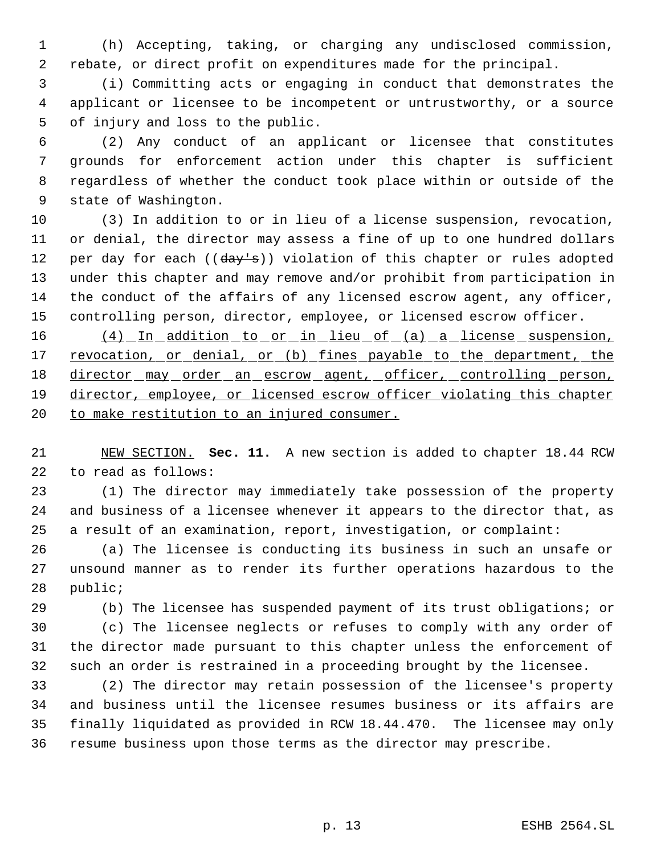(h) Accepting, taking, or charging any undisclosed commission, rebate, or direct profit on expenditures made for the principal.

 (i) Committing acts or engaging in conduct that demonstrates the applicant or licensee to be incompetent or untrustworthy, or a source of injury and loss to the public.

 (2) Any conduct of an applicant or licensee that constitutes grounds for enforcement action under this chapter is sufficient regardless of whether the conduct took place within or outside of the state of Washington.

 (3) In addition to or in lieu of a license suspension, revocation, or denial, the director may assess a fine of up to one hundred dollars 12 per day for each ((day's)) violation of this chapter or rules adopted under this chapter and may remove and/or prohibit from participation in the conduct of the affairs of any licensed escrow agent, any officer, controlling person, director, employee, or licensed escrow officer.

16 (4) In addition to or in lieu of (a) a license suspension, 17 revocation, or denial, or (b) fines payable to the department, the 18 director may order an escrow agent, officer, controlling person, director, employee, or licensed escrow officer violating this chapter 20 to make restitution to an injured consumer.

 NEW SECTION. **Sec. 11.** A new section is added to chapter 18.44 RCW to read as follows:

 (1) The director may immediately take possession of the property and business of a licensee whenever it appears to the director that, as a result of an examination, report, investigation, or complaint:

 (a) The licensee is conducting its business in such an unsafe or unsound manner as to render its further operations hazardous to the public;

 (b) The licensee has suspended payment of its trust obligations; or (c) The licensee neglects or refuses to comply with any order of the director made pursuant to this chapter unless the enforcement of such an order is restrained in a proceeding brought by the licensee.

 (2) The director may retain possession of the licensee's property and business until the licensee resumes business or its affairs are finally liquidated as provided in RCW 18.44.470. The licensee may only resume business upon those terms as the director may prescribe.